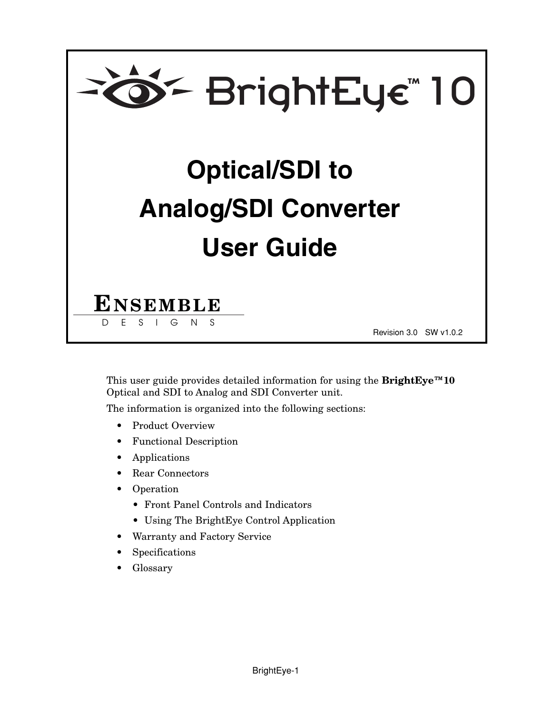

This user guide provides detailed information for using the **BrightEye™10** Optical and SDI to Analog and SDI Converter unit.

The information is organized into the following sections:

- Product Overview
- Functional Description
- Applications
- Rear Connectors
- Operation
	- Front Panel Controls and Indicators
	- Using The BrightEye Control Application
- Warranty and Factory Service
- Specifications
- Glossary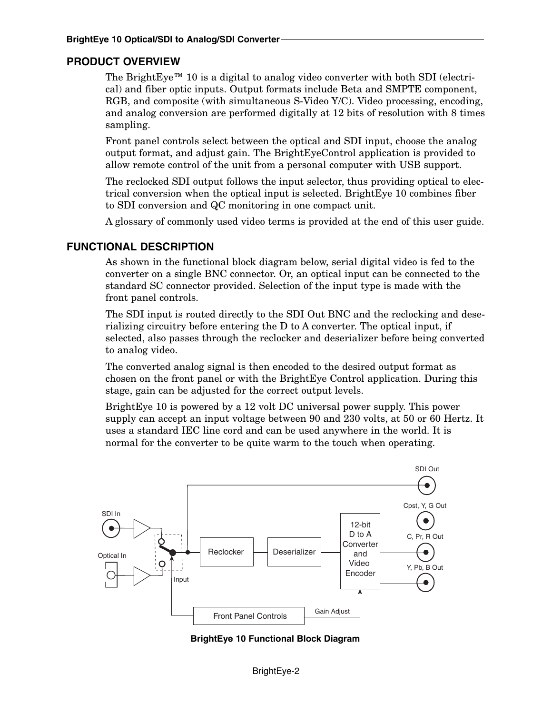#### **PRODUCT OVERVIEW**

The BrightEye<sup>™</sup> 10 is a digital to analog video converter with both SDI (electrical) and fiber optic inputs. Output formats include Beta and SMPTE component, RGB, and composite (with simultaneous S-Video Y/C). Video processing, encoding, and analog conversion are performed digitally at 12 bits of resolution with 8 times sampling.

Front panel controls select between the optical and SDI input, choose the analog output format, and adjust gain. The BrightEyeControl application is provided to allow remote control of the unit from a personal computer with USB support.

The reclocked SDI output follows the input selector, thus providing optical to electrical conversion when the optical input is selected. BrightEye 10 combines fiber to SDI conversion and QC monitoring in one compact unit.

A glossary of commonly used video terms is provided at the end of this user guide.

#### **FUNCTIONAL DESCRIPTION**

As shown in the functional block diagram below, serial digital video is fed to the converter on a single BNC connector. Or, an optical input can be connected to the standard SC connector provided. Selection of the input type is made with the front panel controls.

The SDI input is routed directly to the SDI Out BNC and the reclocking and deserializing circuitry before entering the D to A converter. The optical input, if selected, also passes through the reclocker and deserializer before being converted to analog video.

The converted analog signal is then encoded to the desired output format as chosen on the front panel or with the BrightEye Control application. During this stage, gain can be adjusted for the correct output levels.

BrightEye 10 is powered by a 12 volt DC universal power supply. This power supply can accept an input voltage between 90 and 230 volts, at 50 or 60 Hertz. It uses a standard IEC line cord and can be used anywhere in the world. It is normal for the converter to be quite warm to the touch when operating.



**BrightEye 10 Functional Block Diagram**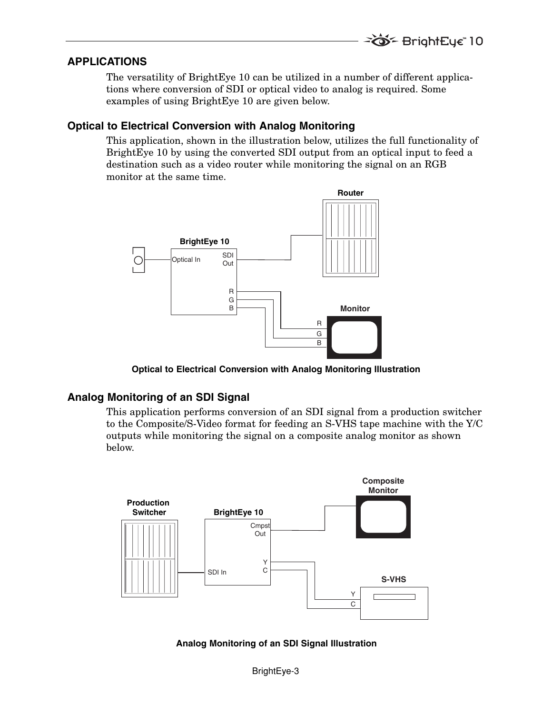#### **APPLICATIONS**

The versatility of BrightEye 10 can be utilized in a number of different applications where conversion of SDI or optical video to analog is required. Some examples of using BrightEye 10 are given below.

#### **Optical to Electrical Conversion with Analog Monitoring**

This application, shown in the illustration below, utilizes the full functionality of BrightEye 10 by using the converted SDI output from an optical input to feed a destination such as a video router while monitoring the signal on an RGB monitor at the same time.



**Optical to Electrical Conversion with Analog Monitoring Illustration**

## **Analog Monitoring of an SDI Signal**

This application performs conversion of an SDI signal from a production switcher to the Composite/S-Video format for feeding an S-VHS tape machine with the Y/C outputs while monitoring the signal on a composite analog monitor as shown below.



**Analog Monitoring of an SDI Signal Illustration**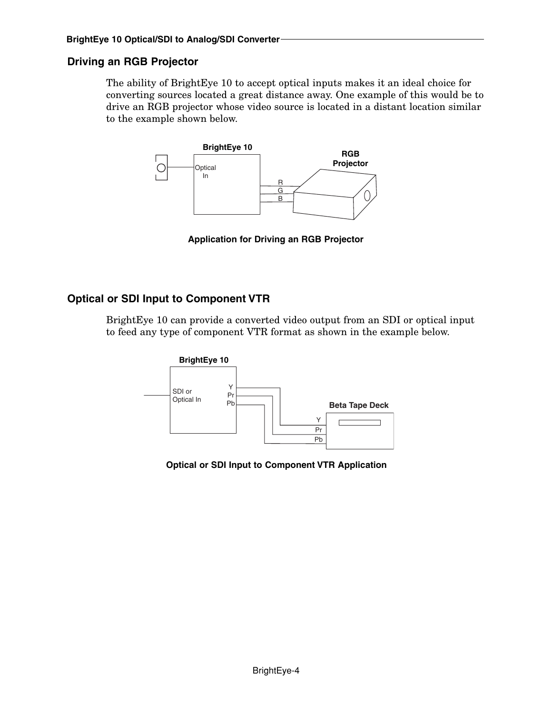# **Driving an RGB Projector**

The ability of BrightEye 10 to accept optical inputs makes it an ideal choice for converting sources located a great distance away. One example of this would be to drive an RGB projector whose video source is located in a distant location similar to the example shown below.



**Application for Driving an RGB Projector**

## **Optical or SDI Input to Component VTR**

BrightEye 10 can provide a converted video output from an SDI or optical input to feed any type of component VTR format as shown in the example below.



**Optical or SDI Input to Component VTR Application**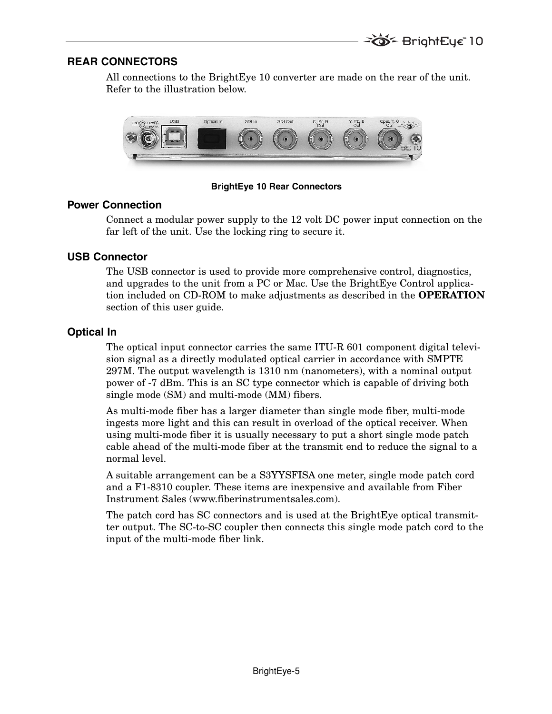## **REAR CONNECTORS**

All connections to the BrightEye 10 converter are made on the rear of the unit. Refer to the illustration below.



**BrightEye 10 Rear Connectors**

#### **Power Connection**

Connect a modular power supply to the 12 volt DC power input connection on the far left of the unit. Use the locking ring to secure it.

# **USB Connector**

The USB connector is used to provide more comprehensive control, diagnostics, and upgrades to the unit from a PC or Mac. Use the BrightEye Control application included on CD-ROM to make adjustments as described in the **OPERATION** section of this user guide.

# **Optical In**

The optical input connector carries the same ITU-R 601 component digital television signal as a directly modulated optical carrier in accordance with SMPTE 297M. The output wavelength is 1310 nm (nanometers), with a nominal output power of -7 dBm. This is an SC type connector which is capable of driving both single mode (SM) and multi-mode (MM) fibers.

As multi-mode fiber has a larger diameter than single mode fiber, multi-mode ingests more light and this can result in overload of the optical receiver. When using multi-mode fiber it is usually necessary to put a short single mode patch cable ahead of the multi-mode fiber at the transmit end to reduce the signal to a normal level.

A suitable arrangement can be a S3YYSFISA one meter, single mode patch cord and a F1-8310 coupler. These items are inexpensive and available from Fiber Instrument Sales (www.fiberinstrumentsales.com).

The patch cord has SC connectors and is used at the BrightEye optical transmitter output. The SC-to-SC coupler then connects this single mode patch cord to the input of the multi-mode fiber link.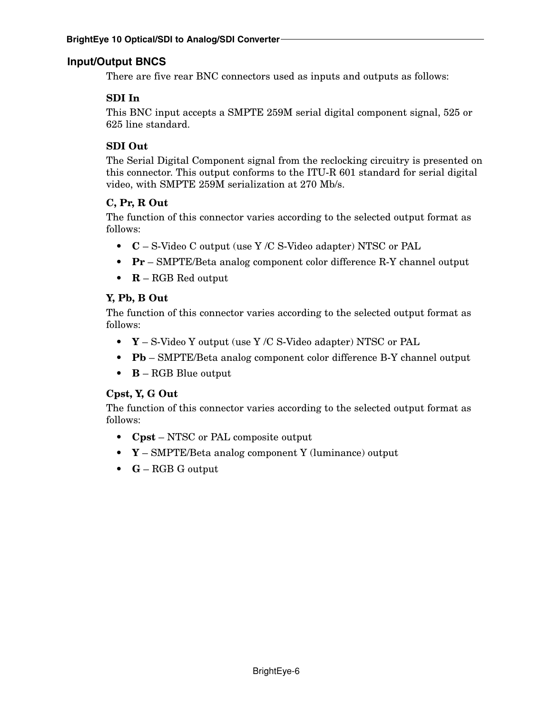# **Input/Output BNCS**

There are five rear BNC connectors used as inputs and outputs as follows:

# **SDI In**

This BNC input accepts a SMPTE 259M serial digital component signal, 525 or 625 line standard.

# **SDI Out**

The Serial Digital Component signal from the reclocking circuitry is presented on this connector. This output conforms to the ITU-R 601 standard for serial digital video, with SMPTE 259M serialization at 270 Mb/s.

# **C, Pr, R Out**

The function of this connector varies according to the selected output format as follows:

- **C** S-Video C output (use Y /C S-Video adapter) NTSC or PAL
- **Pr** SMPTE/Beta analog component color difference R-Y channel output
- **R** RGB Red output

# **Y, Pb, B Out**

The function of this connector varies according to the selected output format as follows:

- **Y** S-Video Y output (use Y /C S-Video adapter) NTSC or PAL
- **Pb** SMPTE/Beta analog component color difference B-Y channel output
- **B** RGB Blue output

## **Cpst, Y, G Out**

The function of this connector varies according to the selected output format as follows:

- **Cpst** NTSC or PAL composite output
- **Y** SMPTE/Beta analog component Y (luminance) output
- **G** RGB G output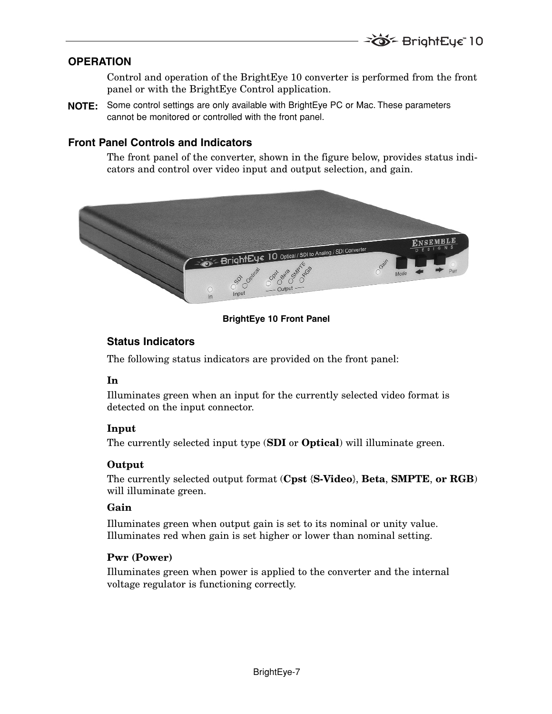## **OPERATION**

Control and operation of the BrightEye 10 converter is performed from the front panel or with the BrightEye Control application.

**NOTE:** Some control settings are only available with BrightEye PC or Mac. These parameters cannot be monitored or controlled with the front panel.

## **Front Panel Controls and Indicators**

The front panel of the converter, shown in the figure below, provides status indicators and control over video input and output selection, and gain.



#### **BrightEye 10 Front Panel**

# **Status Indicators**

The following status indicators are provided on the front panel:

## **In**

Illuminates green when an input for the currently selected video format is detected on the input connector.

## **Input**

The currently selected input type (**SDI** or **Optical**) will illuminate green.

## **Output**

The currently selected output format (**Cpst** {**S-Video**}, **Beta**, **SMPTE**, **or RGB**) will illuminate green.

## **Gain**

Illuminates green when output gain is set to its nominal or unity value. Illuminates red when gain is set higher or lower than nominal setting.

#### **Pwr (Power)**

Illuminates green when power is applied to the converter and the internal voltage regulator is functioning correctly.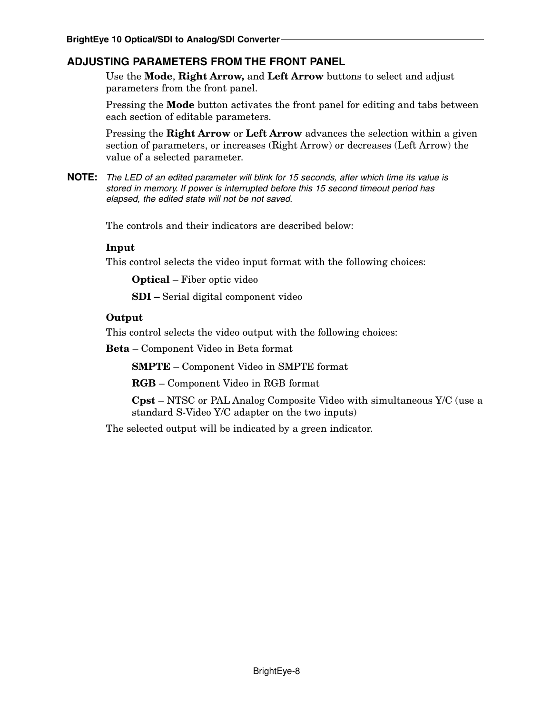# **ADJUSTING PARAMETERS FROM THE FRONT PANEL**

Use the **Mode**, **Right Arrow,** and **Left Arrow** buttons to select and adjust parameters from the front panel.

Pressing the **Mode** button activates the front panel for editing and tabs between each section of editable parameters.

Pressing the **Right Arrow** or **Left Arrow** advances the selection within a given section of parameters, or increases (Right Arrow) or decreases (Left Arrow) the value of a selected parameter.

NOTE: The LED of an edited parameter will blink for 15 seconds, after which time its value is stored in memory. If power is interrupted before this 15 second timeout period has elapsed, the edited state will not be not saved.

The controls and their indicators are described below:

#### **Input**

This control selects the video input format with the following choices:

**Optical** – Fiber optic video

**SDI –** Serial digital component video

#### **Output**

This control selects the video output with the following choices:

**Beta** – Component Video in Beta format

**SMPTE** – Component Video in SMPTE format

**RGB** – Component Video in RGB format

**Cpst** – NTSC or PAL Analog Composite Video with simultaneous Y/C (use a standard S-Video Y/C adapter on the two inputs)

The selected output will be indicated by a green indicator.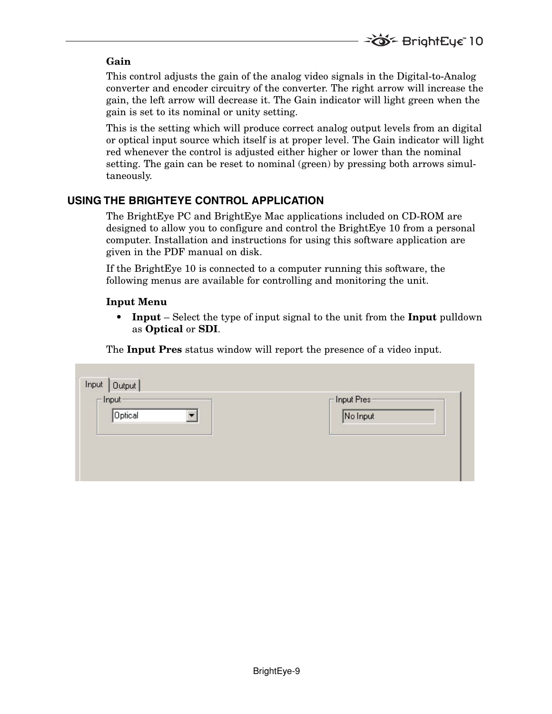#### **Gain**

This control adjusts the gain of the analog video signals in the Digital-to-Analog converter and encoder circuitry of the converter. The right arrow will increase the gain, the left arrow will decrease it. The Gain indicator will light green when the gain is set to its nominal or unity setting.

This is the setting which will produce correct analog output levels from an digital or optical input source which itself is at proper level. The Gain indicator will light red whenever the control is adjusted either higher or lower than the nominal setting. The gain can be reset to nominal (green) by pressing both arrows simultaneously.

# **USING THE BRIGHTEYE CONTROL APPLICATION**

The BrightEye PC and BrightEye Mac applications included on CD-ROM are designed to allow you to configure and control the BrightEye 10 from a personal computer. Installation and instructions for using this software application are given in the PDF manual on disk.

If the BrightEye 10 is connected to a computer running this software, the following menus are available for controlling and monitoring the unit.

#### **Input Menu**

**• Input** – Select the type of input signal to the unit from the **Input** pulldown as **Optical** or **SDI**.

The **Input Pres** status window will report the presence of a video input.

| Input   Output  <br>$\Box$ Input- | $\Gamma$ Input Pres- |
|-----------------------------------|----------------------|
| <b>Optical</b>                    | No Input             |
|                                   |                      |
|                                   |                      |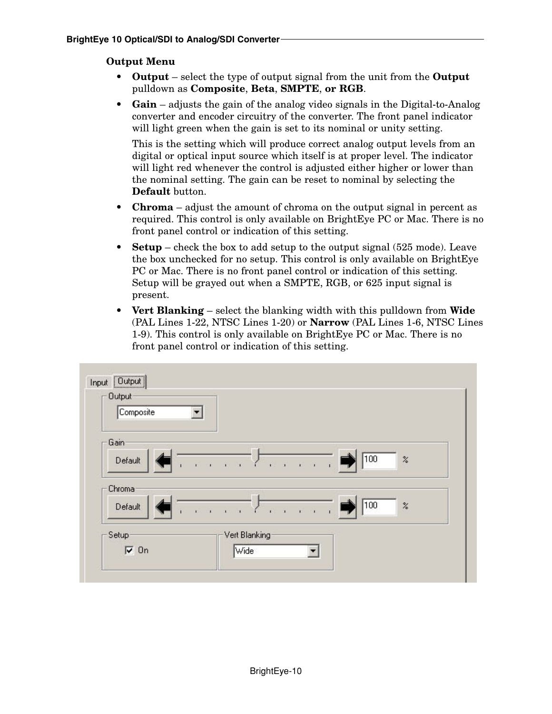#### **Output Menu**

- **Output** select the type of output signal from the unit from the **Output** pulldown as **Composite**, **Beta**, **SMPTE**, **or RGB**.
- **Gain** adjusts the gain of the analog video signals in the Digital-to-Analog converter and encoder circuitry of the converter. The front panel indicator will light green when the gain is set to its nominal or unity setting.

This is the setting which will produce correct analog output levels from an digital or optical input source which itself is at proper level. The indicator will light red whenever the control is adjusted either higher or lower than the nominal setting. The gain can be reset to nominal by selecting the **Default** button.

- **Chroma** adjust the amount of chroma on the output signal in percent as required. This control is only available on BrightEye PC or Mac. There is no front panel control or indication of this setting.
- **Setup** check the box to add setup to the output signal (525 mode). Leave the box unchecked for no setup. This control is only available on BrightEye PC or Mac. There is no front panel control or indication of this setting. Setup will be grayed out when a SMPTE, RGB, or 625 input signal is present.
- **Vert Blanking** select the blanking width with this pulldown from **Wide** (PAL Lines 1-22, NTSC Lines 1-20) or **Narrow** (PAL Lines 1-6, NTSC Lines 1-9). This control is only available on BrightEye PC or Mac. There is no front panel control or indication of this setting.

| <b>Output</b><br>Composite |                       |                                                                                                                        |     |           |
|----------------------------|-----------------------|------------------------------------------------------------------------------------------------------------------------|-----|-----------|
| Gain<br>Default            | is a car a            | $\widetilde{K}$ , $\widetilde{K}$ , $\widetilde{K}$ , $\widetilde{K}$ , $\widetilde{K}$                                | 100 | $\!\! \%$ |
| Chroma<br>Default          | $r = r$<br>$1 - 1$    | $\hat{\mathbf{r}}$ , $\hat{\mathbf{r}}$ , $\hat{\mathbf{r}}$ , $\hat{\mathbf{r}}$ , $\hat{\mathbf{r}}$<br>$\mathbf{I}$ | 100 | $\!\! \%$ |
| Setup<br>$\overline{v}$ On | Vert Blanking<br>Wide |                                                                                                                        |     |           |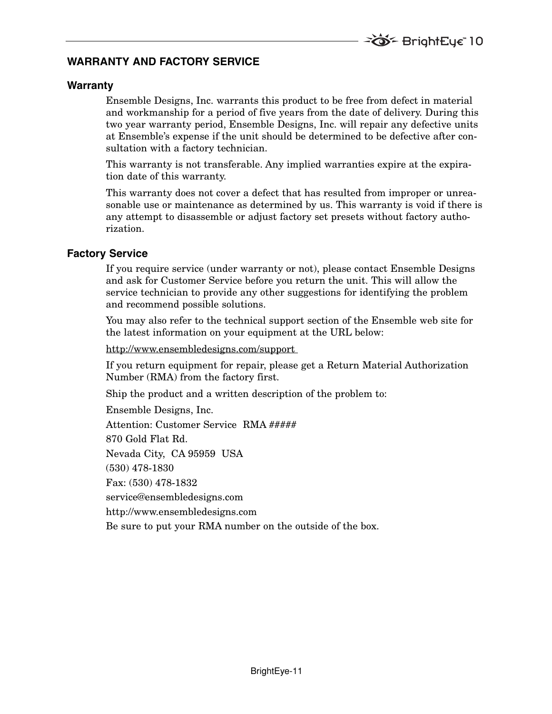# **WARRANTY AND FACTORY SERVICE**

#### **Warranty**

Ensemble Designs, Inc. warrants this product to be free from defect in material and workmanship for a period of five years from the date of delivery. During this two year warranty period, Ensemble Designs, Inc. will repair any defective units at Ensemble's expense if the unit should be determined to be defective after consultation with a factory technician.

This warranty is not transferable. Any implied warranties expire at the expiration date of this warranty.

This warranty does not cover a defect that has resulted from improper or unreasonable use or maintenance as determined by us. This warranty is void if there is any attempt to disassemble or adjust factory set presets without factory authorization.

#### **Factory Service**

If you require service (under warranty or not), please contact Ensemble Designs and ask for Customer Service before you return the unit. This will allow the service technician to provide any other suggestions for identifying the problem and recommend possible solutions.

You may also refer to the technical support section of the Ensemble web site for the latest information on your equipment at the URL below:

http://www.ensembledesigns.com/support

If you return equipment for repair, please get a Return Material Authorization Number (RMA) from the factory first.

Ship the product and a written description of the problem to:

Ensemble Designs, Inc. Attention: Customer Service RMA ##### 870 Gold Flat Rd. Nevada City, CA 95959 USA (530) 478-1830 Fax: (530) 478-1832 service@ensembledesigns.com http://www.ensembledesigns.com Be sure to put your RMA number on the outside of the box.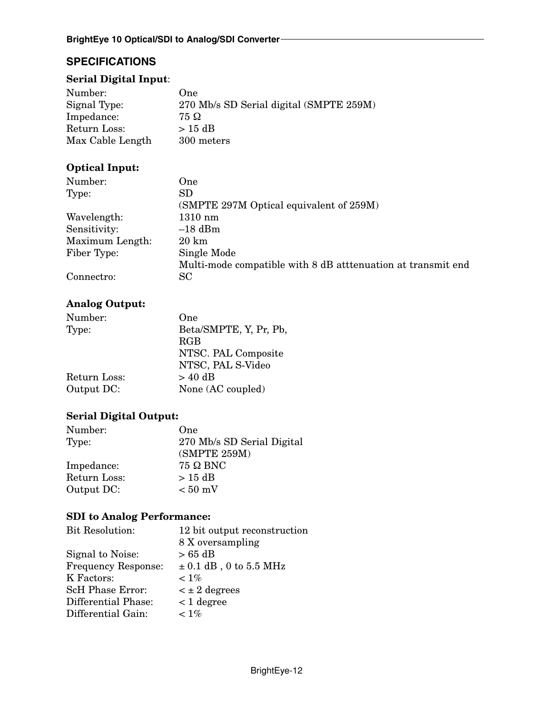# **SPECIFICATIONS**

# **Serial Digital Input**:

| Number:          | One)                                    |
|------------------|-----------------------------------------|
| Signal Type:     | 270 Mb/s SD Serial digital (SMPTE 259M) |
| Impedance:       | 75 Ω                                    |
| Return Loss:     | $>$ 15 dB                               |
| Max Cable Length | 300 meters                              |

# **Optical Input:**

| Number:         | One.                                                        |
|-----------------|-------------------------------------------------------------|
| Type:           | SD.                                                         |
|                 | (SMPTE 297M Optical equivalent of 259M)                     |
| Wavelength:     | $1310 \text{ nm}$                                           |
| Sensitivity:    | $-18$ dBm                                                   |
| Maximum Length: | $20 \;{\rm km}$                                             |
| Fiber Type:     | Single Mode                                                 |
|                 | Multi-mode compatible with 8 dB attenuation at transmit end |
| Connectro:      | SC                                                          |

# **Analog Output:**

| Number:      | One                    |
|--------------|------------------------|
| Type:        | Beta/SMPTE, Y, Pr, Pb, |
|              | RGB                    |
|              | NTSC. PAL Composite    |
|              | NTSC, PAL S-Video      |
| Return Loss: | $> 40$ dB              |
| Output DC:   | None (AC coupled)      |

# **Serial Digital Output:**

| Number:      | One                        |
|--------------|----------------------------|
| Type:        | 270 Mb/s SD Serial Digital |
|              | (SMPTE 259M)               |
| Impedance:   | $75 \Omega$ BNC            |
| Return Loss: | $>15$ dB                   |
| Output DC:   | $< 50$ mV                  |

## **SDI to Analog Performance:**

| <b>Bit Resolution:</b>     | 12 bit output reconstruction |
|----------------------------|------------------------------|
|                            | 8 X oversampling             |
| Signal to Noise:           | $> 65$ dB                    |
| <b>Frequency Response:</b> | $\pm$ 0.1 dB, 0 to 5.5 MHz   |
| K Factors:                 | $< 1\%$                      |
| <b>ScH Phase Error:</b>    | $\leq \pm 2$ degrees         |
| Differential Phase:        | $<$ 1 degree                 |
| Differential Gain:         | $< 1\%$                      |
|                            |                              |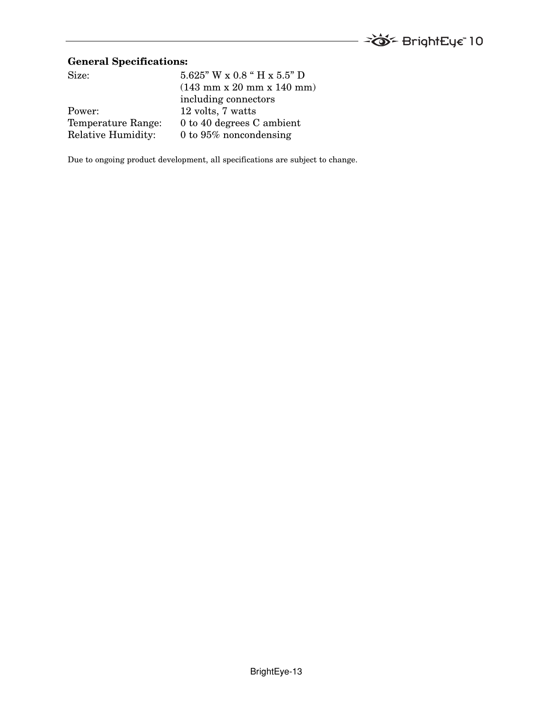

# **General Specifications:**

| $5.625$ " W x 0.8 " H x $5.5$ " D                             |
|---------------------------------------------------------------|
| $(143 \text{ mm} \times 20 \text{ mm} \times 140 \text{ mm})$ |
| including connectors                                          |
| 12 volts, 7 watts                                             |
| 0 to 40 degrees C ambient                                     |
| 0 to $95\%$ noncondensing                                     |
|                                                               |

Due to ongoing product development, all specifications are subject to change.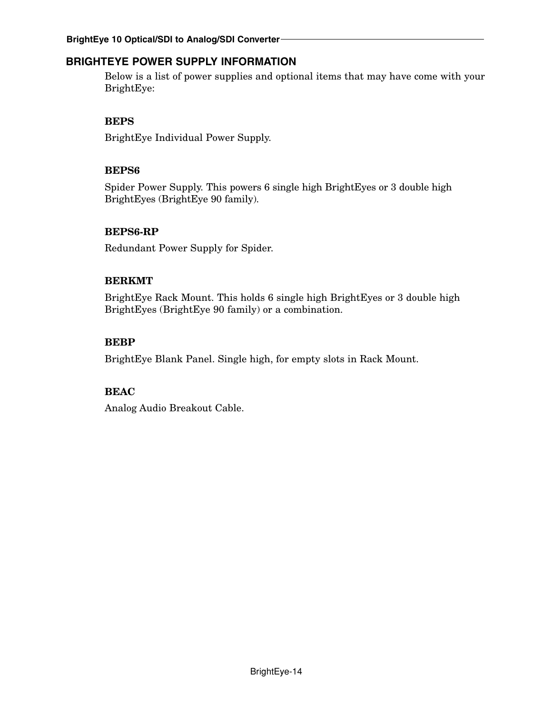# **BRIGHTEYE POWER SUPPLY INFORMATION**

Below is a list of power supplies and optional items that may have come with your BrightEye:

## **BEPS**

BrightEye Individual Power Supply.

#### **BEPS6**

Spider Power Supply. This powers 6 single high BrightEyes or 3 double high BrightEyes (BrightEye 90 family).

## **BEPS6-RP**

Redundant Power Supply for Spider.

#### **BERKMT**

BrightEye Rack Mount. This holds 6 single high BrightEyes or 3 double high BrightEyes (BrightEye 90 family) or a combination.

## **BEBP**

BrightEye Blank Panel. Single high, for empty slots in Rack Mount.

## **BEAC**

Analog Audio Breakout Cable.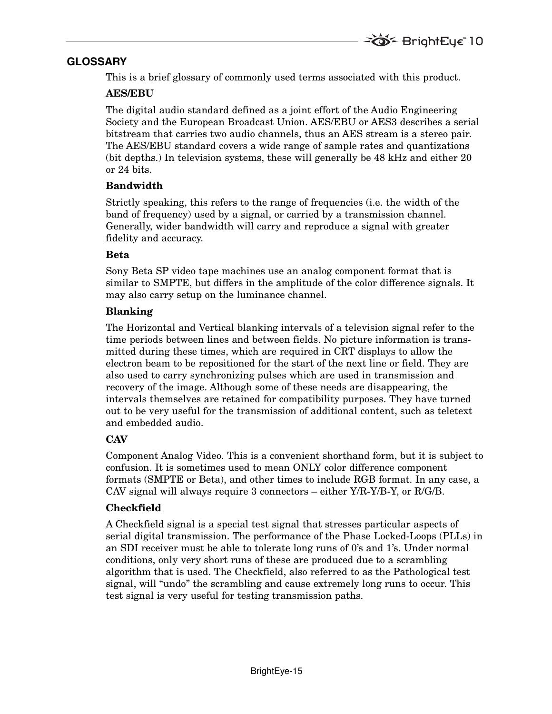# **GLOSSARY**

This is a brief glossary of commonly used terms associated with this product.

#### **AES/EBU**

The digital audio standard defined as a joint effort of the Audio Engineering Society and the European Broadcast Union. AES/EBU or AES3 describes a serial bitstream that carries two audio channels, thus an AES stream is a stereo pair. The AES/EBU standard covers a wide range of sample rates and quantizations (bit depths.) In television systems, these will generally be 48 kHz and either 20 or 24 bits.

#### **Bandwidth**

Strictly speaking, this refers to the range of frequencies (i.e. the width of the band of frequency) used by a signal, or carried by a transmission channel. Generally, wider bandwidth will carry and reproduce a signal with greater fidelity and accuracy.

#### **Beta**

Sony Beta SP video tape machines use an analog component format that is similar to SMPTE, but differs in the amplitude of the color difference signals. It may also carry setup on the luminance channel.

#### **Blanking**

The Horizontal and Vertical blanking intervals of a television signal refer to the time periods between lines and between fields. No picture information is transmitted during these times, which are required in CRT displays to allow the electron beam to be repositioned for the start of the next line or field. They are also used to carry synchronizing pulses which are used in transmission and recovery of the image. Although some of these needs are disappearing, the intervals themselves are retained for compatibility purposes. They have turned out to be very useful for the transmission of additional content, such as teletext and embedded audio.

## **CAV**

Component Analog Video. This is a convenient shorthand form, but it is subject to confusion. It is sometimes used to mean ONLY color difference component formats (SMPTE or Beta), and other times to include RGB format. In any case, a CAV signal will always require 3 connectors – either Y/R-Y/B-Y, or R/G/B.

## **Checkfield**

A Checkfield signal is a special test signal that stresses particular aspects of serial digital transmission. The performance of the Phase Locked-Loops (PLLs) in an SDI receiver must be able to tolerate long runs of 0's and 1's. Under normal conditions, only very short runs of these are produced due to a scrambling algorithm that is used. The Checkfield, also referred to as the Pathological test signal, will "undo" the scrambling and cause extremely long runs to occur. This test signal is very useful for testing transmission paths.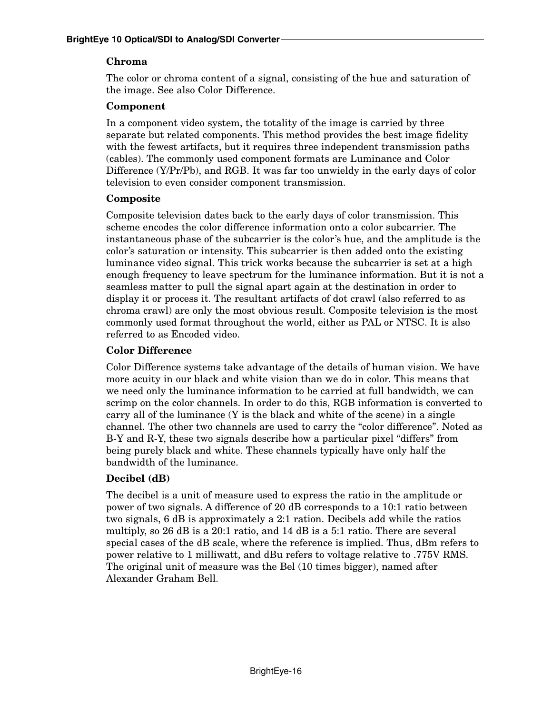# **Chroma**

The color or chroma content of a signal, consisting of the hue and saturation of the image. See also Color Difference.

# **Component**

In a component video system, the totality of the image is carried by three separate but related components. This method provides the best image fidelity with the fewest artifacts, but it requires three independent transmission paths (cables). The commonly used component formats are Luminance and Color Difference (Y/Pr/Pb), and RGB. It was far too unwieldy in the early days of color television to even consider component transmission.

## **Composite**

Composite television dates back to the early days of color transmission. This scheme encodes the color difference information onto a color subcarrier. The instantaneous phase of the subcarrier is the color's hue, and the amplitude is the color's saturation or intensity. This subcarrier is then added onto the existing luminance video signal. This trick works because the subcarrier is set at a high enough frequency to leave spectrum for the luminance information. But it is not a seamless matter to pull the signal apart again at the destination in order to display it or process it. The resultant artifacts of dot crawl (also referred to as chroma crawl) are only the most obvious result. Composite television is the most commonly used format throughout the world, either as PAL or NTSC. It is also referred to as Encoded video.

# **Color Difference**

Color Difference systems take advantage of the details of human vision. We have more acuity in our black and white vision than we do in color. This means that we need only the luminance information to be carried at full bandwidth, we can scrimp on the color channels. In order to do this, RGB information is converted to carry all of the luminance  $(Y$  is the black and white of the scene) in a single channel. The other two channels are used to carry the "color difference". Noted as B-Y and R-Y, these two signals describe how a particular pixel "differs" from being purely black and white. These channels typically have only half the bandwidth of the luminance.

# **Decibel (dB)**

The decibel is a unit of measure used to express the ratio in the amplitude or power of two signals. A difference of 20 dB corresponds to a 10:1 ratio between two signals, 6 dB is approximately a 2:1 ration. Decibels add while the ratios multiply, so 26 dB is a 20:1 ratio, and 14 dB is a 5:1 ratio. There are several special cases of the dB scale, where the reference is implied. Thus, dBm refers to power relative to 1 milliwatt, and dBu refers to voltage relative to .775V RMS. The original unit of measure was the Bel (10 times bigger), named after Alexander Graham Bell.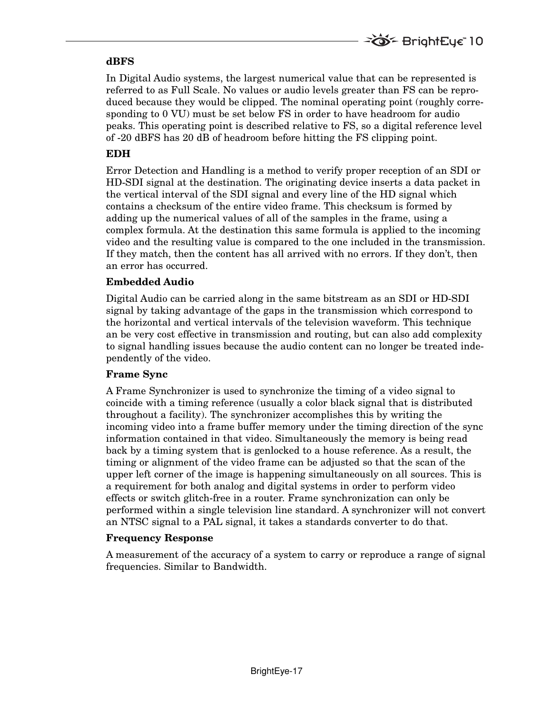#### **dBFS**

In Digital Audio systems, the largest numerical value that can be represented is referred to as Full Scale. No values or audio levels greater than FS can be reproduced because they would be clipped. The nominal operating point (roughly corresponding to 0 VU) must be set below FS in order to have headroom for audio peaks. This operating point is described relative to FS, so a digital reference level of -20 dBFS has 20 dB of headroom before hitting the FS clipping point.

## **EDH**

Error Detection and Handling is a method to verify proper reception of an SDI or HD-SDI signal at the destination. The originating device inserts a data packet in the vertical interval of the SDI signal and every line of the HD signal which contains a checksum of the entire video frame. This checksum is formed by adding up the numerical values of all of the samples in the frame, using a complex formula. At the destination this same formula is applied to the incoming video and the resulting value is compared to the one included in the transmission. If they match, then the content has all arrived with no errors. If they don't, then an error has occurred.

#### **Embedded Audio**

Digital Audio can be carried along in the same bitstream as an SDI or HD-SDI signal by taking advantage of the gaps in the transmission which correspond to the horizontal and vertical intervals of the television waveform. This technique an be very cost effective in transmission and routing, but can also add complexity to signal handling issues because the audio content can no longer be treated independently of the video.

#### **Frame Sync**

A Frame Synchronizer is used to synchronize the timing of a video signal to coincide with a timing reference (usually a color black signal that is distributed throughout a facility). The synchronizer accomplishes this by writing the incoming video into a frame buffer memory under the timing direction of the sync information contained in that video. Simultaneously the memory is being read back by a timing system that is genlocked to a house reference. As a result, the timing or alignment of the video frame can be adjusted so that the scan of the upper left corner of the image is happening simultaneously on all sources. This is a requirement for both analog and digital systems in order to perform video effects or switch glitch-free in a router. Frame synchronization can only be performed within a single television line standard. A synchronizer will not convert an NTSC signal to a PAL signal, it takes a standards converter to do that.

#### **Frequency Response**

A measurement of the accuracy of a system to carry or reproduce a range of signal frequencies. Similar to Bandwidth.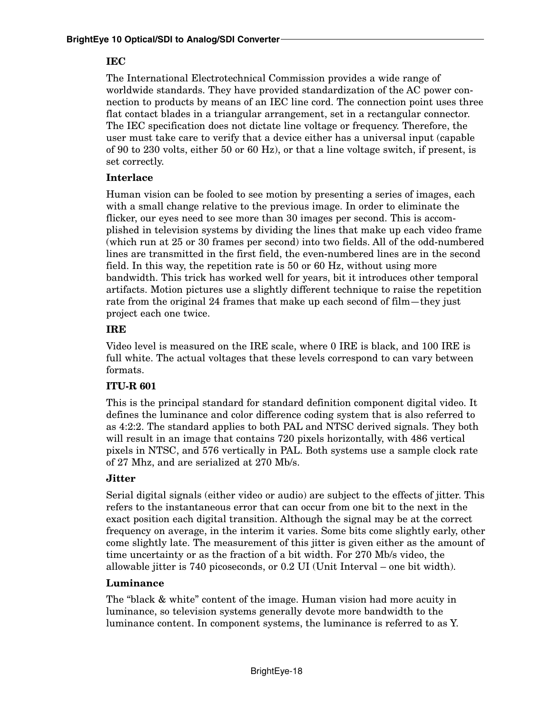#### **IEC**

The International Electrotechnical Commission provides a wide range of worldwide standards. They have provided standardization of the AC power connection to products by means of an IEC line cord. The connection point uses three flat contact blades in a triangular arrangement, set in a rectangular connector. The IEC specification does not dictate line voltage or frequency. Therefore, the user must take care to verify that a device either has a universal input (capable of 90 to 230 volts, either 50 or 60 Hz), or that a line voltage switch, if present, is set correctly.

#### **Interlace**

Human vision can be fooled to see motion by presenting a series of images, each with a small change relative to the previous image. In order to eliminate the flicker, our eyes need to see more than 30 images per second. This is accomplished in television systems by dividing the lines that make up each video frame (which run at 25 or 30 frames per second) into two fields. All of the odd-numbered lines are transmitted in the first field, the even-numbered lines are in the second field. In this way, the repetition rate is 50 or 60 Hz, without using more bandwidth. This trick has worked well for years, bit it introduces other temporal artifacts. Motion pictures use a slightly different technique to raise the repetition rate from the original 24 frames that make up each second of film—they just project each one twice.

## **IRE**

Video level is measured on the IRE scale, where 0 IRE is black, and 100 IRE is full white. The actual voltages that these levels correspond to can vary between formats.

## **ITU-R 601**

This is the principal standard for standard definition component digital video. It defines the luminance and color difference coding system that is also referred to as 4:2:2. The standard applies to both PAL and NTSC derived signals. They both will result in an image that contains 720 pixels horizontally, with 486 vertical pixels in NTSC, and 576 vertically in PAL. Both systems use a sample clock rate of 27 Mhz, and are serialized at 270 Mb/s.

## **Jitter**

Serial digital signals (either video or audio) are subject to the effects of jitter. This refers to the instantaneous error that can occur from one bit to the next in the exact position each digital transition. Although the signal may be at the correct frequency on average, in the interim it varies. Some bits come slightly early, other come slightly late. The measurement of this jitter is given either as the amount of time uncertainty or as the fraction of a bit width. For 270 Mb/s video, the allowable jitter is 740 picoseconds, or 0.2 UI (Unit Interval – one bit width).

## **Luminance**

The "black & white" content of the image. Human vision had more acuity in luminance, so television systems generally devote more bandwidth to the luminance content. In component systems, the luminance is referred to as Y.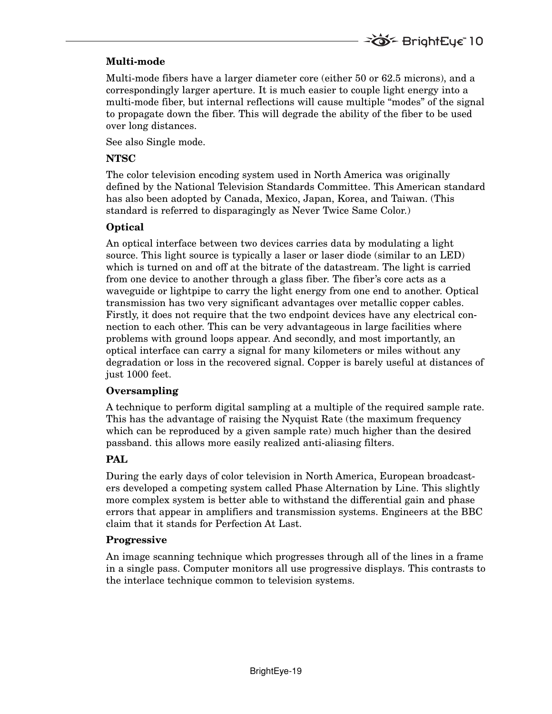## **Multi-mode**

Multi-mode fibers have a larger diameter core (either 50 or 62.5 microns), and a correspondingly larger aperture. It is much easier to couple light energy into a multi-mode fiber, but internal reflections will cause multiple "modes" of the signal to propagate down the fiber. This will degrade the ability of the fiber to be used over long distances.

**TO BrightEye** 10

See also Single mode.

#### **NTSC**

The color television encoding system used in North America was originally defined by the National Television Standards Committee. This American standard has also been adopted by Canada, Mexico, Japan, Korea, and Taiwan. (This standard is referred to disparagingly as Never Twice Same Color.)

#### **Optical**

An optical interface between two devices carries data by modulating a light source. This light source is typically a laser or laser diode (similar to an LED) which is turned on and off at the bitrate of the datastream. The light is carried from one device to another through a glass fiber. The fiber's core acts as a waveguide or lightpipe to carry the light energy from one end to another. Optical transmission has two very significant advantages over metallic copper cables. Firstly, it does not require that the two endpoint devices have any electrical connection to each other. This can be very advantageous in large facilities where problems with ground loops appear. And secondly, and most importantly, an optical interface can carry a signal for many kilometers or miles without any degradation or loss in the recovered signal. Copper is barely useful at distances of just 1000 feet.

#### **Oversampling**

A technique to perform digital sampling at a multiple of the required sample rate. This has the advantage of raising the Nyquist Rate (the maximum frequency which can be reproduced by a given sample rate) much higher than the desired passband. this allows more easily realized anti-aliasing filters.

## **PAL**

During the early days of color television in North America, European broadcasters developed a competing system called Phase Alternation by Line. This slightly more complex system is better able to withstand the differential gain and phase errors that appear in amplifiers and transmission systems. Engineers at the BBC claim that it stands for Perfection At Last.

#### **Progressive**

An image scanning technique which progresses through all of the lines in a frame in a single pass. Computer monitors all use progressive displays. This contrasts to the interlace technique common to television systems.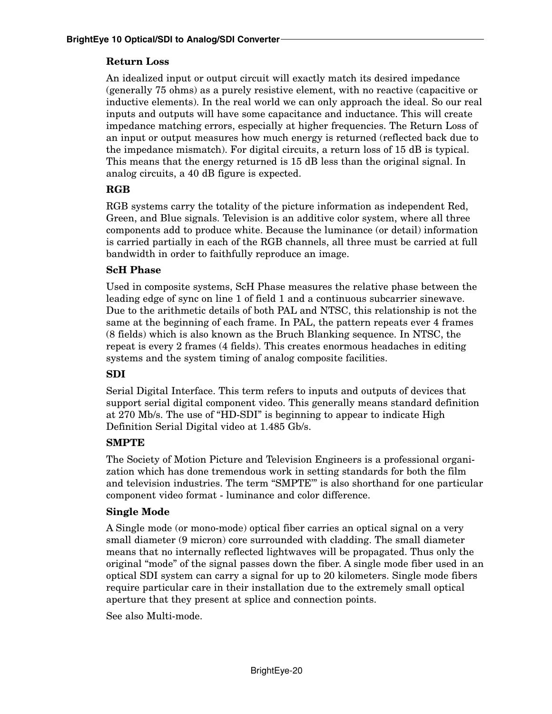#### **Return Loss**

An idealized input or output circuit will exactly match its desired impedance (generally 75 ohms) as a purely resistive element, with no reactive (capacitive or inductive elements). In the real world we can only approach the ideal. So our real inputs and outputs will have some capacitance and inductance. This will create impedance matching errors, especially at higher frequencies. The Return Loss of an input or output measures how much energy is returned (reflected back due to the impedance mismatch). For digital circuits, a return loss of 15 dB is typical. This means that the energy returned is 15 dB less than the original signal. In analog circuits, a 40 dB figure is expected.

#### **RGB**

RGB systems carry the totality of the picture information as independent Red, Green, and Blue signals. Television is an additive color system, where all three components add to produce white. Because the luminance (or detail) information is carried partially in each of the RGB channels, all three must be carried at full bandwidth in order to faithfully reproduce an image.

#### **ScH Phase**

Used in composite systems, ScH Phase measures the relative phase between the leading edge of sync on line 1 of field 1 and a continuous subcarrier sinewave. Due to the arithmetic details of both PAL and NTSC, this relationship is not the same at the beginning of each frame. In PAL, the pattern repeats ever 4 frames (8 fields) which is also known as the Bruch Blanking sequence. In NTSC, the repeat is every 2 frames (4 fields). This creates enormous headaches in editing systems and the system timing of analog composite facilities.

#### **SDI**

Serial Digital Interface. This term refers to inputs and outputs of devices that support serial digital component video. This generally means standard definition at 270 Mb/s. The use of "HD-SDI" is beginning to appear to indicate High Definition Serial Digital video at 1.485 Gb/s.

#### **SMPTE**

The Society of Motion Picture and Television Engineers is a professional organization which has done tremendous work in setting standards for both the film and television industries. The term "SMPTE'" is also shorthand for one particular component video format - luminance and color difference.

#### **Single Mode**

A Single mode (or mono-mode) optical fiber carries an optical signal on a very small diameter (9 micron) core surrounded with cladding. The small diameter means that no internally reflected lightwaves will be propagated. Thus only the original "mode" of the signal passes down the fiber. A single mode fiber used in an optical SDI system can carry a signal for up to 20 kilometers. Single mode fibers require particular care in their installation due to the extremely small optical aperture that they present at splice and connection points.

See also Multi-mode.